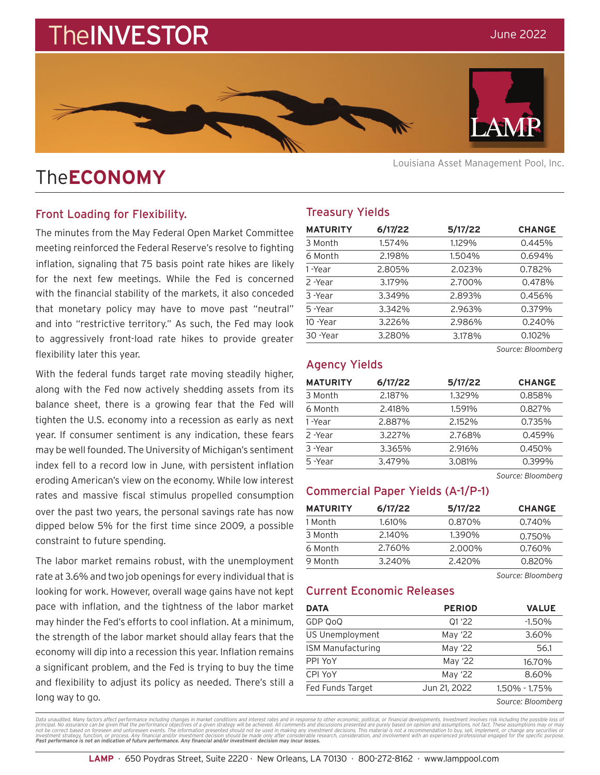# **TheINVESTOR**



## The**ECONOMY**

#### Front Loading for Flexibility.

The minutes from the May Federal Open Market Committee meeting reinforced the Federal Reserve's resolve to fighting inflation, signaling that 75 basis point rate hikes are likely for the next few meetings. While the Fed is concerned with the financial stability of the markets, it also conceded that monetary policy may have to move past "neutral" and into "restrictive territory." As such, the Fed may look to aggressively front-load rate hikes to provide greater flexibility later this year.

With the federal funds target rate moving steadily higher, along with the Fed now actively shedding assets from its balance sheet, there is a growing fear that the Fed will tighten the U.S. economy into a recession as early as next year. If consumer sentiment is any indication, these fears may be well founded. The University of Michigan's sentiment index fell to a record low in June, with persistent inflation eroding American's view on the economy. While low interest rates and massive fiscal stimulus propelled consumption over the past two years, the personal savings rate has now dipped below 5% for the first time since 2009, a possible constraint to future spending.

The labor market remains robust, with the unemployment rate at 3.6% and two job openings for every individual that is looking for work. However, overall wage gains have not kept pace with inflation, and the tightness of the labor market may hinder the Fed's efforts to cool inflation. At a minimum, the strength of the labor market should allay fears that the economy will dip into a recession this year. Inflation remains a significant problem, and the Fed is trying to buy the time and flexibility to adjust its policy as needed. There's still a long way to go.

Louisiana Asset Management Pool, Inc.

### Treasury Yields

| <b>MATURITY</b> | 6/17/22 | 5/17/22 | <b>CHANGE</b> |
|-----------------|---------|---------|---------------|
| 3 Month         | 1.574%  | 1.129%  | 0.445%        |
| 6 Month         | 2.198%  | 1.504%  | 0.694%        |
| 1-Year          | 2.805%  | 2.023%  | 0.782%        |
| 2 -Year         | 3.179%  | 2.700%  | 0.478%        |
| 3 -Year         | 3.349%  | 2.893%  | 0.456%        |
| 5-Year          | 3.342%  | 2.963%  | 0.379%        |
| 10 -Year        | 3.226%  | 2.986%  | 0.240%        |
| 30 - Year       | 3.280%  | 3.178%  | 0.102%        |

*Source: Bloomberg*

#### Agency Yields

| <b>MATURITY</b> | 6/17/22 | 5/17/22 | <b>CHANGE</b> |
|-----------------|---------|---------|---------------|
| 3 Month         | 2.187%  | 1.329%  | 0.858%        |
| 6 Month         | 2.418%  | 1.591%  | 0.827%        |
| 1-Year          | 2.887%  | 2.152%  | 0.735%        |
| 2-Year          | 3.227%  | 2.768%  | 0.459%        |
| 3-Year          | 3.365%  | 2.916%  | 0.450%        |
| 5-Year          | 3.479%  | 3.081%  | 0.399%        |
|                 |         |         |               |

*Source: Bloomberg*

#### Commercial Paper Yields (A-1/P-1)

| <b>MATURITY</b> | 6/17/22 | 5/17/22 | <b>CHANGE</b> |
|-----------------|---------|---------|---------------|
| 1 Month         | 1.610%  | 0.870%  | 0.740%        |
| 3 Month         | 2.140%  | 1.390%  | 0.750%        |
| 6 Month         | 2.760%  | 2.000%  | 0.760%        |
| 9 Month         | 3.240%  | 2.420%  | 0.820%        |

*Source: Bloomberg*

#### Current Economic Releases

| DATA              | <b>PERIOD</b> | <b>VALUE</b>  |
|-------------------|---------------|---------------|
| GDP QoQ           | Q1'22         | $-1.50%$      |
| US Unemployment   | May '22       | 3.60%         |
| ISM Manufacturing | May '22       | 56.1          |
| PPI YoY           | May '22       | 16.70%        |
| CPI YoY           | May '22       | 8.60%         |
| Fed Funds Target  | Jun 21, 2022  | 1.50% - 1.75% |
|                   |               |               |

*Source: Bloomberg*

Data unaudited. Many factors affect performance including changes in market conditions and interest rates and in response to other economic, political, or financial developments. Investment involves risk including the poss **Past performance is not an indication of future performance. Any financial and/or investment decision may incur losses.**